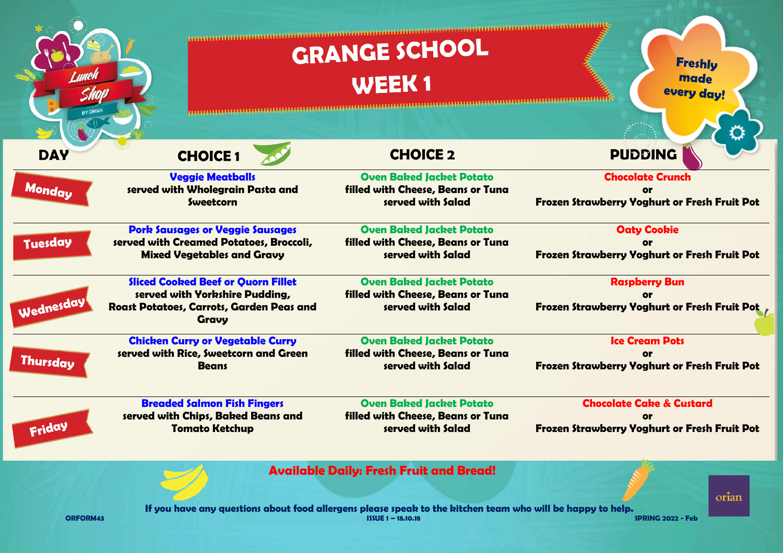|                 |                                                                                                                                  | <b>GRANGE SCHOOL</b>                                                                                                               | <b>Freshly</b>                                                                             |  |
|-----------------|----------------------------------------------------------------------------------------------------------------------------------|------------------------------------------------------------------------------------------------------------------------------------|--------------------------------------------------------------------------------------------|--|
|                 |                                                                                                                                  | WEEK <sub>1</sub>                                                                                                                  | made<br>every day!                                                                         |  |
| BY ORIAN        |                                                                                                                                  |                                                                                                                                    |                                                                                            |  |
| <b>DAY</b>      | <b>CHOICE 1</b>                                                                                                                  | <b>CHOICE 2</b>                                                                                                                    | <b>PUDDING</b>                                                                             |  |
| Monday          | <b>Veggie Meatballs</b><br>served with Wholegrain Pasta and<br>Sweetcorn                                                         | <b>Oven Baked Jacket Potato</b><br>filled with Cheese, Beans or Tuna<br>served with Salad                                          | <b>Chocolate Crunch</b><br>Оr<br><b>Frozen Strawberry Yoghurt or Fresh Fruit Pot</b>       |  |
| <b>Tuesday</b>  | <b>Pork Sausages or Veggie Sausages</b><br>served with Creamed Potatoes, Broccoli,<br><b>Mixed Vegetables and Gravy</b>          | <b>Oven Baked Jacket Potato</b><br>filled with Cheese, Beans or Tuna<br>served with Salad                                          | <b>Oaty Cookie</b><br>Frozen Strawberry Yoghurt or Fresh Fruit Pot                         |  |
| Wednesday       | <b>Sliced Cooked Beef or Quorn Fillet</b><br>served with Yorkshire Pudding,<br>Roast Potatoes, Carrots, Garden Peas and<br>Gravy | <b>Oven Baked Jacket Potato</b><br>filled with Cheese, Beans or Tuna<br>served with Salad                                          | <b>Raspberry Bun</b><br>or<br><b>Frozen Strawberry Yoghurt or Fresh Fruit Pot</b>          |  |
| <b>Thursday</b> | <b>Chicken Curry or Vegetable Curry</b><br>served with Rice, Sweetcorn and Green<br><b>Beans</b>                                 | <b>Oven Baked Jacket Potato</b><br>filled with Cheese, Beans or Tuna<br>served with Salad                                          | <b>Ice Cream Pots</b><br>or<br>Frozen Strawberry Yoghurt or Fresh Fruit Pot                |  |
| Friday          | <b>Breaded Salmon Fish Fingers</b><br>served with Chips, Baked Beans and<br><b>Tomato Ketchup</b>                                | <b>Oven Baked Jacket Potato</b><br>filled with Cheese, Beans or Tuna<br>served with Salad                                          | <b>Chocolate Cake &amp; Custard</b><br><b>Frozen Strawberry Yoghurt or Fresh Fruit Pot</b> |  |
|                 |                                                                                                                                  | <b>Available Daily: Fresh Fruit and Bread!</b>                                                                                     |                                                                                            |  |
| <b>ORFORM43</b> |                                                                                                                                  | If you have any questions about food allergens please speak to the kitchen team who will be happy to help.<br>$ISSUE 1 - 18,10,18$ | orian<br>SPRING 2022 - Feb                                                                 |  |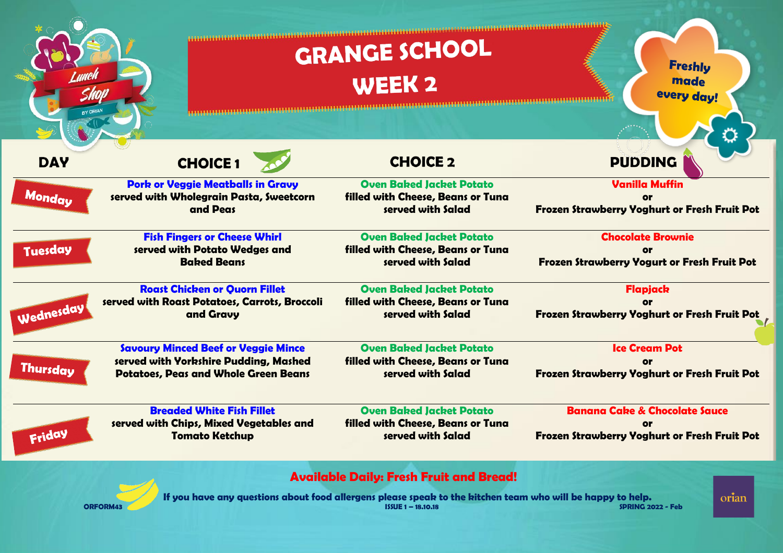| <b>RY ORIA!</b> |                                                                                                                                    | <b>GRANGE SCHOOL</b><br>WEEK <sub>2</sub>                                                                                                                                        | <b>Freshly</b><br>made<br>every day!                                                            |
|-----------------|------------------------------------------------------------------------------------------------------------------------------------|----------------------------------------------------------------------------------------------------------------------------------------------------------------------------------|-------------------------------------------------------------------------------------------------|
| <b>DAY</b>      | <b>CHOICE 1</b>                                                                                                                    | <b>CHOICE 2</b>                                                                                                                                                                  | <b>PUDDING</b>                                                                                  |
| Monday          | <b>Pork or Veggie Meatballs in Gravy</b><br>served with Wholegrain Pasta, Sweetcorn<br>and Peas                                    | <b>Oven Baked Jacket Potato</b><br>filled with Cheese, Beans or Tuna<br>served with Salad                                                                                        | <b>Vanilla Muffin</b><br><b>or</b><br>Frozen Strawberry Yoghurt or Fresh Fruit Pot              |
| Tuesday         | <b>Fish Fingers or Cheese Whirl</b><br>served with Potato Wedges and<br><b>Baked Beans</b>                                         | <b>Oven Baked Jacket Potato</b><br>filled with Cheese, Beans or Tuna<br>served with Salad                                                                                        | <b>Chocolate Brownie</b><br>Frozen Strawberry Yogurt or Fresh Fruit Pot                         |
| Wednesday       | <b>Roast Chicken or Quorn Fillet</b><br>served with Roast Potatoes, Carrots, Broccoli<br>and Gravy                                 | <b>Oven Baked Jacket Potato</b><br>filled with Cheese, Beans or Tuna<br>served with Salad                                                                                        | Flapjack<br>or<br>Frozen Strawberry Yoghurt or Fresh Fruit Pot                                  |
| <b>Thursday</b> | <b>Savoury Minced Beef or Veggie Mince</b><br>served with Yorkshire Pudding, Mashed<br><b>Potatoes, Peas and Whole Green Beans</b> | <b>Oven Baked Jacket Potato</b><br>filled with Cheese, Beans or Tuna<br>served with Salad                                                                                        | <b>Ice Cream Pot</b><br><b>Frozen Strawberry Yoghurt or Fresh Fruit Pot</b>                     |
| Friday          | <b>Breaded White Fish Fillet</b><br>served with Chips, Mixed Vegetables and<br><b>Tomato Ketchup</b>                               | <b>Oven Baked Jacket Potato</b><br>filled with Cheese, Beans or Tuna<br>served with Salad                                                                                        | <b>Banana Cake &amp; Chocolate Sauce</b><br>Or.<br>Frozen Strawberry Yoghurt or Fresh Fruit Pot |
|                 | <b>ORFORM4:</b>                                                                                                                    | <b>Available Daily: Fresh Fruit and Bread!</b><br>If you have any questions about food allergens please speak to the kitchen team who will be happy to help.<br>ISSUE 1-18.10.18 | orian<br>SPRING 2022 - Feb                                                                      |